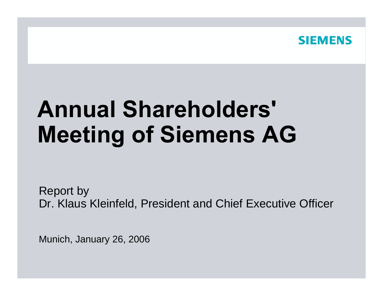

# **Annual Shareholders' Meeting of Siemens AG**

Report by Dr. Klaus Kleinfeld, President and Chief Executive Officer

Munic h, January 26, 2006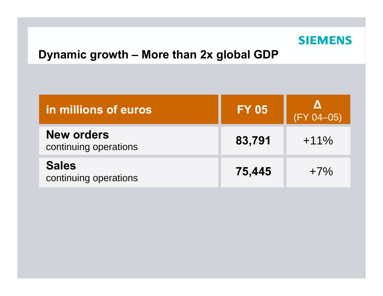

## **Dynamic growth – More than 2x global GDP**

| in millions of euros                       | <b>FY 05</b> | $(FY 04 - 05)$ |  |
|--------------------------------------------|--------------|----------------|--|
| <b>New orders</b><br>continuing operations | 83,791       | $+11\%$        |  |
| <b>Sales</b><br>continuing operations      | 75,445       | $+7\%$         |  |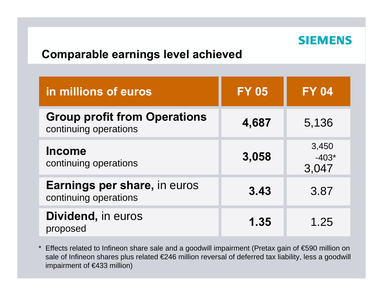#### **SIEMENS**

## **Comparable earnings level achieved**

| in millions of euros                                         | <b>FY 05</b> | <b>FY 04</b>              |  |
|--------------------------------------------------------------|--------------|---------------------------|--|
| <b>Group profit from Operations</b><br>continuing operations | 4,687        | 5,136                     |  |
| <b>Income</b><br>continuing operations                       | 3,058        | 3,450<br>$-403*$<br>3,047 |  |
| <b>Earnings per share, in euros</b><br>continuing operations | 3.43         | 3.87                      |  |
| Dividend, in euros<br>proposed                               | 1.35         | 1.25                      |  |

\* Effects related to Infineon share sale and a goodwill impairment (Pretax gain of €590 million on sale of Infineon shares plus related €246 million reversal of deferred tax liability, less a goodwill impairment of €433 million)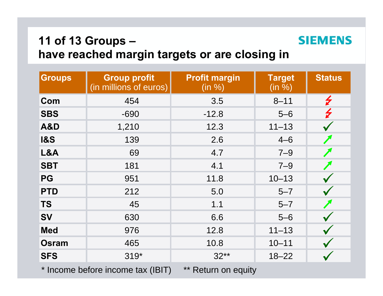# **11 of 13 Groups – have reached margin targets or are closing in**

| <b>Groups</b>  | <b>Group profit</b><br>(in millions of euros) | <b>Profit margin</b><br>(in %) | <b>Target</b><br>(in %) | <b>Status</b>      |
|----------------|-----------------------------------------------|--------------------------------|-------------------------|--------------------|
| Com            | 454                                           | 3.5                            | $8 - 11$                | $\bigtriangledown$ |
| <b>SBS</b>     | $-690$                                        | $-12.8$                        | $5-6$                   | $\bigtriangledown$ |
| <b>A&amp;D</b> | 1,210                                         | 12.3                           | $11 - 13$               |                    |
| <b>1&amp;S</b> | 139                                           | 2.6                            | $4 - 6$                 |                    |
| L&A            | 69                                            | 4.7                            | $7 - 9$                 |                    |
| <b>SBT</b>     | 181                                           | 4.1                            | $7 - 9$                 |                    |
| <b>PG</b>      | 951                                           | 11.8                           | $10 - 13$               |                    |
| <b>PTD</b>     | 212                                           | 5.0                            | $5 - 7$                 |                    |
| <b>TS</b>      | 45                                            | 1.1                            | $5 - 7$                 |                    |
| <b>SV</b>      | 630                                           | 6.6                            | $5 - 6$                 |                    |
| <b>Med</b>     | 976                                           | 12.8                           | $11 - 13$               |                    |
| <b>Osram</b>   | 465                                           | 10.8                           | $10 - 11$               |                    |
| <b>SFS</b>     | $319*$                                        | $32**$                         | $18 - 22$               |                    |

\* Income before income tax (IBIT) \*\* Return on equity

**SIEMENS**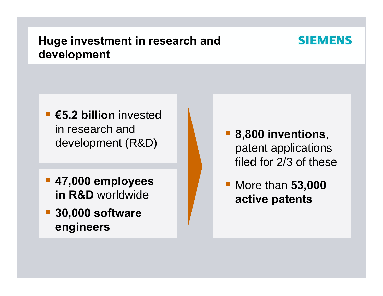# **Huge investment in research and development**

- **€5.2 billion** invested in research and development (R&D)
- $\overline{\mathbb{R}^2}$  **47,000 employees in R&D** worldwide
- $\overline{\mathbb{R}^2}$  **30,000 software engineers**

 **8,800 inventions**, patent applications filed for 2/3 of these

 More than **53,000 active patents**

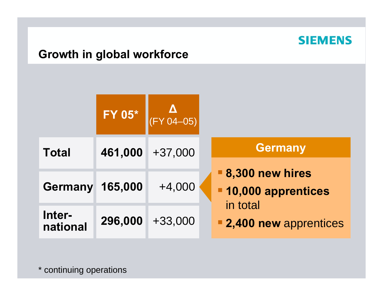

# **Growth in global workforce**

|                    | $\boxed{\mathsf{FY} \ 05^*}$ | V 04-05)  |                                                     |
|--------------------|------------------------------|-----------|-----------------------------------------------------|
| <b>Total</b>       | 461,000                      | $+37,000$ | <b>Germany</b>                                      |
| <b>Germany</b>     | 165,000                      | $+4,000$  | <b>8,300 new hires</b><br><b>10,000 apprentices</b> |
| Inter-<br>national | 296,000                      | $+33,000$ | in total<br><b>2,400 new apprentices</b>            |

\* continuing operations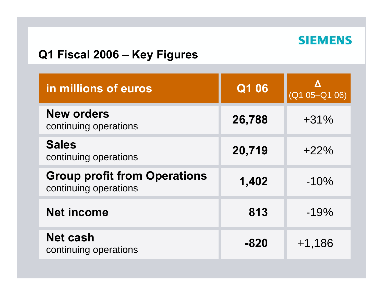

## **Q1 Fiscal 2006 – Key Figures**

| in millions of euros                                         | Q1 06  | Δ<br>$(Q1 05-Q1 06)$ |
|--------------------------------------------------------------|--------|----------------------|
| <b>New orders</b><br>continuing operations                   | 26,788 | $+31%$               |
| <b>Sales</b><br>continuing operations                        | 20,719 | $+22%$               |
| <b>Group profit from Operations</b><br>continuing operations | 1,402  | $-10%$               |
| <b>Net income</b>                                            | 813    | $-19%$               |
| <b>Net cash</b><br>continuing operations                     | $-820$ | $+1,186$             |